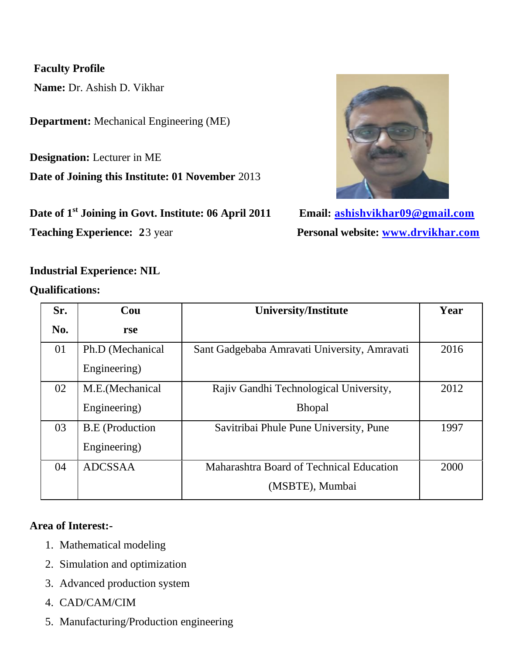## **Faculty Profile**

 **Name:** Dr. Ashish D. Vikhar

**Department:** Mechanical Engineering (ME)

**Designation:** Lecturer in ME

**Date of Joining this Institute: 01 November** 2013

**Date of 1st Joining in Govt. Institute: 06 April 2011 Email: [ashishvikhar09@gmail.com](mailto:ashishvikhar09@gmail.com)**



**Teaching Experience:** 23 year **Personal website: [www.drvikhar.com](http://www.drvikhar.com/)** 

## **Industrial Experience: NIL**

**Qualifications:**

| Sr. | Cou                    | <b>University/Institute</b>                  | Year |
|-----|------------------------|----------------------------------------------|------|
| No. | rse                    |                                              |      |
| 01  | Ph.D (Mechanical       | Sant Gadgebaba Amravati University, Amravati | 2016 |
|     | Engineering)           |                                              |      |
| 02  | M.E. (Mechanical       | Rajiv Gandhi Technological University,       | 2012 |
|     | Engineering)           | <b>Bhopal</b>                                |      |
| 03  | <b>B.E</b> (Production | Savitribai Phule Pune University, Pune       | 1997 |
|     | Engineering)           |                                              |      |
| 04  | <b>ADCSSAA</b>         | Maharashtra Board of Technical Education     | 2000 |
|     |                        | (MSBTE), Mumbai                              |      |

## **Area of Interest:-**

- 1. Mathematical modeling
- 2. Simulation and optimization
- 3. Advanced production system
- 4. CAD/CAM/CIM
- 5. Manufacturing/Production engineering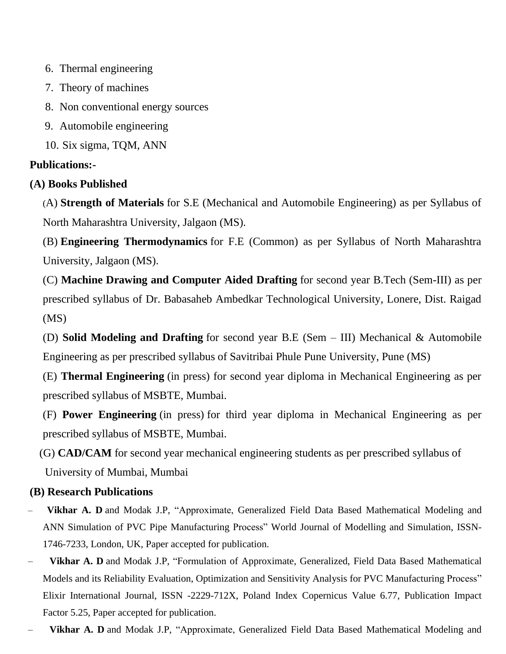- 6. Thermal engineering
- 7. Theory of machines
- 8. Non conventional energy sources
- 9. Automobile engineering
- 10. Six sigma, TQM, ANN

# **Publications:-**

# **(A) Books Published**

(A) **Strength of Materials** for S.E (Mechanical and Automobile Engineering) as per Syllabus of North Maharashtra University, Jalgaon (MS).

(B) **Engineering Thermodynamics** for F.E (Common) as per Syllabus of North Maharashtra University, Jalgaon (MS).

(C) **Machine Drawing and Computer Aided Drafting** for second year B.Tech (Sem-III) as per prescribed syllabus of Dr. Babasaheb Ambedkar Technological University, Lonere, Dist. Raigad (MS)

(D) **Solid Modeling and Drafting** for second year B.E (Sem – III) Mechanical & Automobile Engineering as per prescribed syllabus of Savitribai Phule Pune University, Pune (MS)

(E) **Thermal Engineering** (in press) for second year diploma in Mechanical Engineering as per prescribed syllabus of MSBTE, Mumbai.

(F) **Power Engineering** (in press) for third year diploma in Mechanical Engineering as per prescribed syllabus of MSBTE, Mumbai.

(G) **CAD/CAM** for second year mechanical engineering students as per prescribed syllabus of University of Mumbai, Mumbai

# **(B) Research Publications**

- **Vikhar A. D** and Modak J.P, "Approximate, Generalized Field Data Based Mathematical Modeling and ANN Simulation of PVC Pipe Manufacturing Process" World Journal of Modelling and Simulation, ISSN-1746-7233, London, UK, Paper accepted for publication.
- **Vikhar A. D** and Modak J.P, "Formulation of Approximate, Generalized, Field Data Based Mathematical Models and its Reliability Evaluation, Optimization and Sensitivity Analysis for PVC Manufacturing Process" Elixir International Journal, ISSN -2229-712X, Poland Index Copernicus Value 6.77, Publication Impact Factor 5.25, Paper accepted for publication.
- **Vikhar A. D** and Modak J.P, "Approximate, Generalized Field Data Based Mathematical Modeling and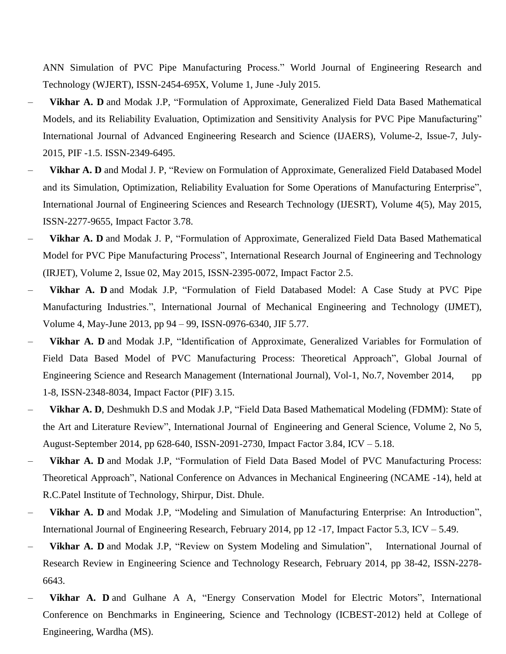ANN Simulation of PVC Pipe Manufacturing Process." World Journal of Engineering Research and Technology (WJERT), ISSN-2454-695X, Volume 1, June -July 2015.

- **Vikhar A. D** and Modak J.P, "Formulation of Approximate, Generalized Field Data Based Mathematical Models, and its Reliability Evaluation, Optimization and Sensitivity Analysis for PVC Pipe Manufacturing" International Journal of Advanced Engineering Research and Science (IJAERS), Volume-2, Issue-7, July-2015, PIF -1.5. ISSN-2349-6495.
- **Vikhar A. D** and Modal J. P, "Review on Formulation of Approximate, Generalized Field Databased Model and its Simulation, Optimization, Reliability Evaluation for Some Operations of Manufacturing Enterprise", International Journal of Engineering Sciences and Research Technology (IJESRT), Volume 4(5), May 2015, ISSN-2277-9655, Impact Factor 3.78.
- **Vikhar A. D** and Modak J. P, "Formulation of Approximate, Generalized Field Data Based Mathematical Model for PVC Pipe Manufacturing Process", International Research Journal of Engineering and Technology (IRJET), Volume 2, Issue 02, May 2015, ISSN-2395-0072, Impact Factor 2.5.
- **Vikhar A. D** and Modak J.P, "Formulation of Field Databased Model: A Case Study at PVC Pipe Manufacturing Industries.", International Journal of Mechanical Engineering and Technology (IJMET), Volume 4, May-June 2013, pp 94 – 99, ISSN-0976-6340, JIF 5.77.
- **Vikhar A. D** and Modak J.P, "Identification of Approximate, Generalized Variables for Formulation of Field Data Based Model of PVC Manufacturing Process: Theoretical Approach", Global Journal of Engineering Science and Research Management (International Journal), Vol-1, No.7, November 2014, pp 1-8, ISSN-2348-8034, Impact Factor (PIF) 3.15.
- **Vikhar A. D**, Deshmukh D.S and Modak J.P, "Field Data Based Mathematical Modeling (FDMM): State of the Art and Literature Review", International Journal of Engineering and General Science, Volume 2, No 5, August-September 2014, pp 628-640, ISSN-2091-2730, Impact Factor 3.84, ICV – 5.18.
- **Vikhar A. D** and Modak J.P, "Formulation of Field Data Based Model of PVC Manufacturing Process: Theoretical Approach", National Conference on Advances in Mechanical Engineering (NCAME -14), held at R.C.Patel Institute of Technology, Shirpur, Dist. Dhule.
- **Vikhar A. D** and Modak J.P, "Modeling and Simulation of Manufacturing Enterprise: An Introduction", International Journal of Engineering Research, February 2014, pp 12 -17, Impact Factor 5.3, ICV – 5.49.
- **Vikhar A. D** and Modak J.P, "Review on System Modeling and Simulation", International Journal of Research Review in Engineering Science and Technology Research, February 2014, pp 38-42, ISSN-2278- 6643.
- **Vikhar A. D** and Gulhane A A, "Energy Conservation Model for Electric Motors", International Conference on Benchmarks in Engineering, Science and Technology (ICBEST-2012) held at College of Engineering, Wardha (MS).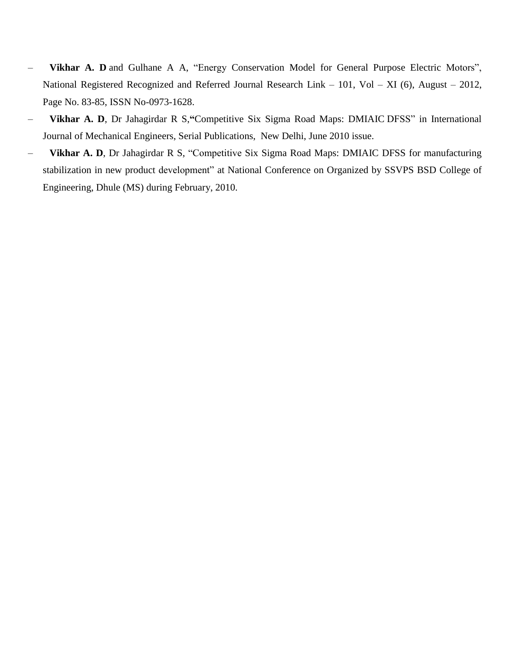- **Vikhar A. D** and Gulhane A A, "Energy Conservation Model for General Purpose Electric Motors", National Registered Recognized and Referred Journal Research Link – 101, Vol – XI (6), August – 2012, Page No. 83-85, ISSN No-0973-1628.
- **Vikhar A. D**, Dr Jahagirdar R S,**"**Competitive Six Sigma Road Maps: DMIAIC DFSS" in International Journal of Mechanical Engineers, Serial Publications, New Delhi, June 2010 issue.
- **Vikhar A. D**, Dr Jahagirdar R S, "Competitive Six Sigma Road Maps: DMIAIC DFSS for manufacturing stabilization in new product development" at National Conference on Organized by SSVPS BSD College of Engineering, Dhule (MS) during February, 2010.